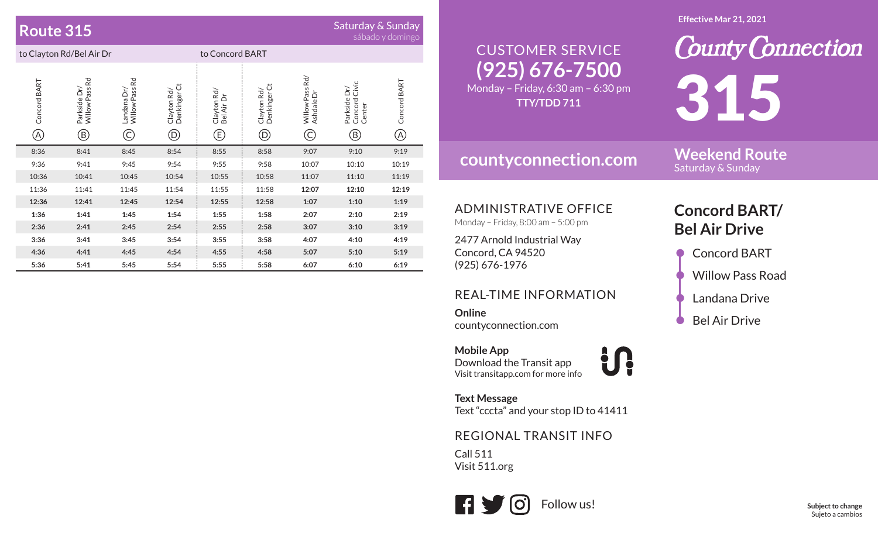## **Route 315**

# Saturday & Sunday<br>sábado y domingo

| to Clayton Rd/Bel Air Dr |                                                                        |                                       |                                              | to Concord BART                  |                                    |                                       |                                                                        |                                            |
|--------------------------|------------------------------------------------------------------------|---------------------------------------|----------------------------------------------|----------------------------------|------------------------------------|---------------------------------------|------------------------------------------------------------------------|--------------------------------------------|
| Concord BART<br>(A)      | Willow Pass Rd<br>Parkside Dr/<br>$\large\textcircled{\scriptsize{B}}$ | Rd<br>Willow Pass<br>Landana Dr/<br>C | Denkinger Ct<br>Clayton Rd/<br>$^\copyright$ | Clayton Rd/<br>Bel Air Dr<br>(E) | Denkinger Ct<br>Clayton Rd/<br>(D) | Rd/<br>Willow Pass<br>Ashdale Dr<br>C | Civic<br>Parkside Dr/<br>Concord<br>Center<br>$\rm \left(\rm B\right)$ | Concord BART<br>$\left( \mathrm{A}\right)$ |
| 8:36                     | 8:41                                                                   | 8:45                                  | 8:54                                         | 8:55                             | 8:58                               | 9:07                                  | 9:10                                                                   | 9:19                                       |
| 9:36                     | 9:41                                                                   | 9:45                                  | 9:54                                         | 9:55                             | 9:58                               | 10:07                                 | 10:10                                                                  | 10:19                                      |
| 10:36                    | 10:41                                                                  | 10:45                                 | 10:54                                        | 10:55                            | 10:58                              | 11:07                                 | 11:10                                                                  | 11:19                                      |
| 11:36                    | 11:41                                                                  | 11:45                                 | 11:54                                        | 11:55                            | 11:58                              | 12:07                                 | 12:10                                                                  | 12:19                                      |
| 12:36                    | 12:41                                                                  | 12:45                                 | 12:54                                        | 12:55                            | 12:58                              | 1:07                                  | 1:10                                                                   | 1:19                                       |
| 1:36                     | 1:41                                                                   | 1:45                                  | 1:54                                         | 1:55                             | 1:58                               | 2:07                                  | 2:10                                                                   | 2:19                                       |
| 2:36                     | 2:41                                                                   | 2:45                                  | 2:54                                         | 2:55                             | 2:58                               | 3:07                                  | 3:10                                                                   | 3:19                                       |
| 3:36                     | 3:41                                                                   | 3:45                                  | 3:54                                         | 3:55                             | 3:58                               | 4:07                                  | 4:10                                                                   | 4:19                                       |
| 4:36                     | 4:41                                                                   | 4:45                                  | 4:54                                         | 4:55                             | 4:58                               | 5:07                                  | 5:10                                                                   | 5:19                                       |
| 5:36                     | 5:41                                                                   | 5:45                                  | 5:54                                         | 5:55                             | 5:58                               | 6:07                                  | 6:10                                                                   | 6:19                                       |

#### **Effective Mar 21, 2021**

#### **(925) 676-7500** Monday – Friday, 6:30 am – 6:30 pm CUSTOMER SERVICE**TTY/TDD 711**

## **countyconnection.com**

**Weekend Route** Saturday & Sunday

315

**County Connection** 

#### ADMINISTRATIVE OFFICE

Monday – Friday, 8:00 am – 5:00 pm

2477 Arnold Industrial Way Concord, CA 94520 (925) 676-1976

#### REAL-TIME INFORMATION

**Online**countyconnection.com

**Mobile App** Download the Transit app Visit transitapp.com for more info **index** 

**Text Message** Text "cccta" and your stop ID to 41411

#### REGIONAL TRANSIT INFO

Call 511Visit 511.org



## **Concord BART/ Bel Air Drive**

- Concord BART
- Willow Pass Road
- Landana Drive
- Bel Air Drive

**Subject to change** Sujeto a cambios